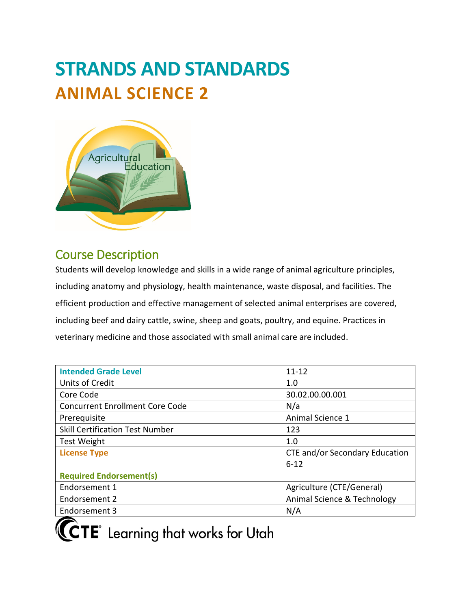# **STRANDS AND STANDARDS ANIMAL SCIENCE 2**



# Course Description

Students will develop knowledge and skills in a wide range of animal agriculture principles, including anatomy and physiology, health maintenance, waste disposal, and facilities. The efficient production and effective management of selected animal enterprises are covered, including beef and dairy cattle, swine, sheep and goats, poultry, and equine. Practices in veterinary medicine and those associated with small animal care are included.

| $11 - 12$                      |  |  |  |  |
|--------------------------------|--|--|--|--|
| 1.0                            |  |  |  |  |
| 30.02.00.00.001                |  |  |  |  |
| N/a                            |  |  |  |  |
| Animal Science 1               |  |  |  |  |
| 123                            |  |  |  |  |
| 1.0                            |  |  |  |  |
| CTE and/or Secondary Education |  |  |  |  |
| $6 - 12$                       |  |  |  |  |
|                                |  |  |  |  |
| Agriculture (CTE/General)      |  |  |  |  |
| Animal Science & Technology    |  |  |  |  |
| N/A                            |  |  |  |  |
|                                |  |  |  |  |



**CCTE** Learning that works for Utah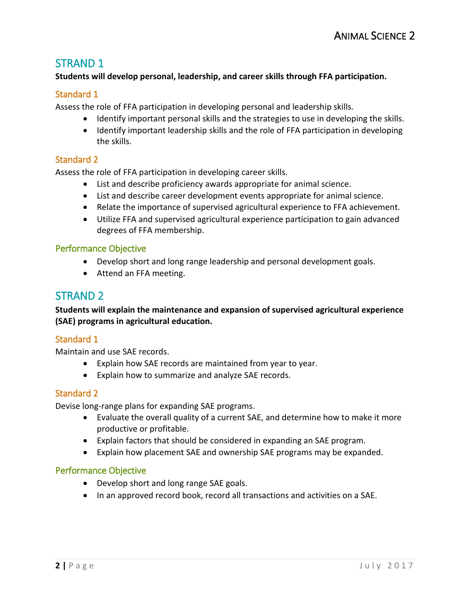# STRAND 1

#### **Students will develop personal, leadership, and career skills through FFA participation.**

## Standard 1

Assess the role of FFA participation in developing personal and leadership skills.

- Identify important personal skills and the strategies to use in developing the skills.
- Identify important leadership skills and the role of FFA participation in developing the skills.

#### Standard 2

Assess the role of FFA participation in developing career skills.

- List and describe proficiency awards appropriate for animal science.
- List and describe career development events appropriate for animal science.
- Relate the importance of supervised agricultural experience to FFA achievement.
- Utilize FFA and supervised agricultural experience participation to gain advanced degrees of FFA membership.

#### Performance Objective

- Develop short and long range leadership and personal development goals.
- Attend an FFA meeting.

# STRAND 2

**Students will explain the maintenance and expansion of supervised agricultural experience (SAE) programs in agricultural education.**

#### Standard 1

Maintain and use SAE records.

- Explain how SAE records are maintained from year to year.
- Explain how to summarize and analyze SAE records.

#### Standard 2

Devise long-range plans for expanding SAE programs.

- Evaluate the overall quality of a current SAE, and determine how to make it more productive or profitable.
- Explain factors that should be considered in expanding an SAE program.
- Explain how placement SAE and ownership SAE programs may be expanded.

#### Performance Objective

- Develop short and long range SAE goals.
- In an approved record book, record all transactions and activities on a SAE.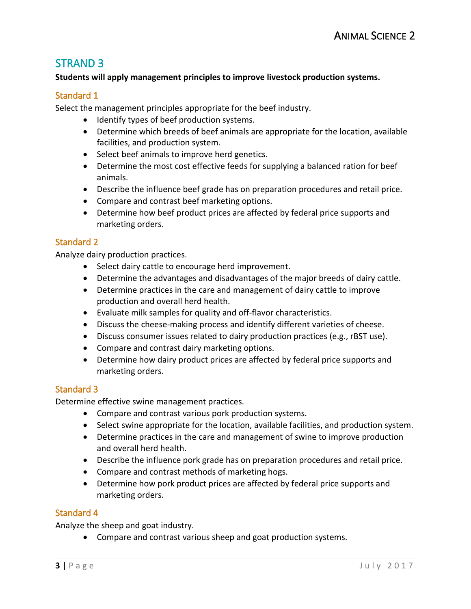# STRAND 3

#### **Students will apply management principles to improve livestock production systems.**

#### Standard 1

Select the management principles appropriate for the beef industry.

- Identify types of beef production systems.
- Determine which breeds of beef animals are appropriate for the location, available facilities, and production system.
- Select beef animals to improve herd genetics.
- Determine the most cost effective feeds for supplying a balanced ration for beef animals.
- Describe the influence beef grade has on preparation procedures and retail price.
- Compare and contrast beef marketing options.
- Determine how beef product prices are affected by federal price supports and marketing orders.

## Standard 2

Analyze dairy production practices.

- Select dairy cattle to encourage herd improvement.
- Determine the advantages and disadvantages of the major breeds of dairy cattle.
- Determine practices in the care and management of dairy cattle to improve production and overall herd health.
- Evaluate milk samples for quality and off-flavor characteristics.
- Discuss the cheese-making process and identify different varieties of cheese.
- Discuss consumer issues related to dairy production practices (e.g., rBST use).
- Compare and contrast dairy marketing options.
- Determine how dairy product prices are affected by federal price supports and marketing orders.

## Standard 3

Determine effective swine management practices.

- Compare and contrast various pork production systems.
- Select swine appropriate for the location, available facilities, and production system.
- Determine practices in the care and management of swine to improve production and overall herd health.
- Describe the influence pork grade has on preparation procedures and retail price.
- Compare and contrast methods of marketing hogs.
- Determine how pork product prices are affected by federal price supports and marketing orders.

## Standard 4

Analyze the sheep and goat industry.

• Compare and contrast various sheep and goat production systems.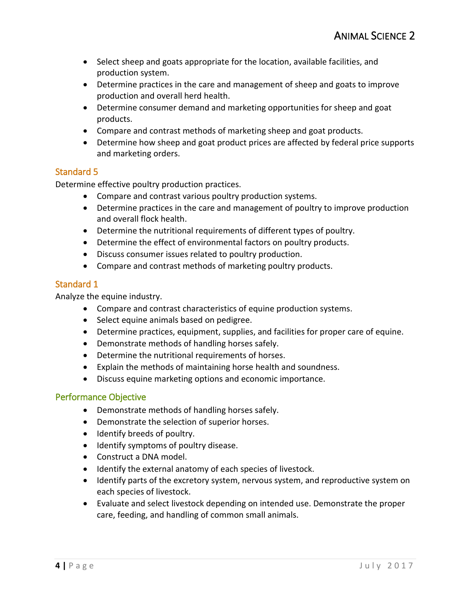- Select sheep and goats appropriate for the location, available facilities, and production system.
- Determine practices in the care and management of sheep and goats to improve production and overall herd health.
- Determine consumer demand and marketing opportunities for sheep and goat products.
- Compare and contrast methods of marketing sheep and goat products.
- Determine how sheep and goat product prices are affected by federal price supports and marketing orders.

## Standard 5

Determine effective poultry production practices.

- Compare and contrast various poultry production systems.
- Determine practices in the care and management of poultry to improve production and overall flock health.
- Determine the nutritional requirements of different types of poultry.
- Determine the effect of environmental factors on poultry products.
- Discuss consumer issues related to poultry production.
- Compare and contrast methods of marketing poultry products.

# Standard 1

Analyze the equine industry.

- Compare and contrast characteristics of equine production systems.
- Select equine animals based on pedigree.
- Determine practices, equipment, supplies, and facilities for proper care of equine.
- Demonstrate methods of handling horses safely.
- Determine the nutritional requirements of horses.
- Explain the methods of maintaining horse health and soundness.
- Discuss equine marketing options and economic importance.

## Performance Objective

- Demonstrate methods of handling horses safely.
- Demonstrate the selection of superior horses.
- Identify breeds of poultry.
- Identify symptoms of poultry disease.
- Construct a DNA model.
- Identify the external anatomy of each species of livestock.
- Identify parts of the excretory system, nervous system, and reproductive system on each species of livestock.
- Evaluate and select livestock depending on intended use. Demonstrate the proper care, feeding, and handling of common small animals.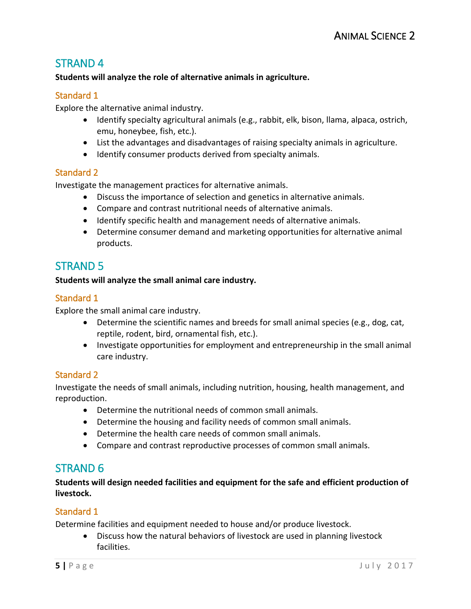# STRAND 4

#### **Students will analyze the role of alternative animals in agriculture.**

#### Standard 1

Explore the alternative animal industry.

- Identify specialty agricultural animals (e.g., rabbit, elk, bison, llama, alpaca, ostrich, emu, honeybee, fish, etc.).
- List the advantages and disadvantages of raising specialty animals in agriculture.
- Identify consumer products derived from specialty animals.

#### Standard 2

Investigate the management practices for alternative animals.

- Discuss the importance of selection and genetics in alternative animals.
- Compare and contrast nutritional needs of alternative animals.
- Identify specific health and management needs of alternative animals.
- Determine consumer demand and marketing opportunities for alternative animal products.

# STRAND 5

#### **Students will analyze the small animal care industry.**

#### Standard 1

Explore the small animal care industry.

- Determine the scientific names and breeds for small animal species (e.g., dog, cat, reptile, rodent, bird, ornamental fish, etc.).
- Investigate opportunities for employment and entrepreneurship in the small animal care industry.

#### Standard 2

Investigate the needs of small animals, including nutrition, housing, health management, and reproduction.

- Determine the nutritional needs of common small animals.
- Determine the housing and facility needs of common small animals.
- Determine the health care needs of common small animals.
- Compare and contrast reproductive processes of common small animals.

# STRAND 6

**Students will design needed facilities and equipment for the safe and efficient production of livestock.**

#### Standard 1

Determine facilities and equipment needed to house and/or produce livestock.

• Discuss how the natural behaviors of livestock are used in planning livestock facilities.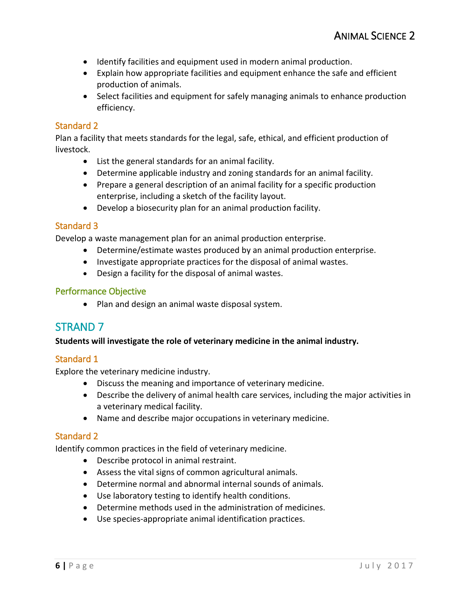- Identify facilities and equipment used in modern animal production.
- Explain how appropriate facilities and equipment enhance the safe and efficient production of animals.
- Select facilities and equipment for safely managing animals to enhance production efficiency.

## Standard 2

Plan a facility that meets standards for the legal, safe, ethical, and efficient production of livestock.

- List the general standards for an animal facility.
- Determine applicable industry and zoning standards for an animal facility.
- Prepare a general description of an animal facility for a specific production enterprise, including a sketch of the facility layout.
- Develop a biosecurity plan for an animal production facility.

#### Standard 3

Develop a waste management plan for an animal production enterprise.

- Determine/estimate wastes produced by an animal production enterprise.
- Investigate appropriate practices for the disposal of animal wastes.
- Design a facility for the disposal of animal wastes.

#### Performance Objective

• Plan and design an animal waste disposal system.

# STRAND 7

#### **Students will investigate the role of veterinary medicine in the animal industry.**

## Standard 1

Explore the veterinary medicine industry.

- Discuss the meaning and importance of veterinary medicine.
- Describe the delivery of animal health care services, including the major activities in a veterinary medical facility.
- Name and describe major occupations in veterinary medicine.

## Standard 2

Identify common practices in the field of veterinary medicine.

- Describe protocol in animal restraint.
- Assess the vital signs of common agricultural animals.
- Determine normal and abnormal internal sounds of animals.
- Use laboratory testing to identify health conditions.
- Determine methods used in the administration of medicines.
- Use species-appropriate animal identification practices.